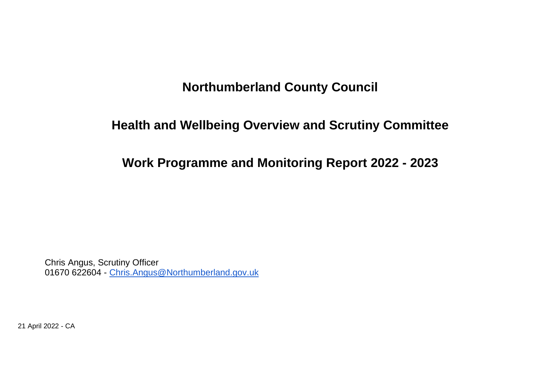## **Northumberland County Council**

## **Health and Wellbeing Overview and Scrutiny Committee**

**Work Programme and Monitoring Report 2022 - 2023**

Chris Angus, Scrutiny Officer 01670 622604 - [Chris.Angus@Northumberland.gov.uk](mailto:Chris.Angus@Northumberland.gov.uk)

21 April 2022 - CA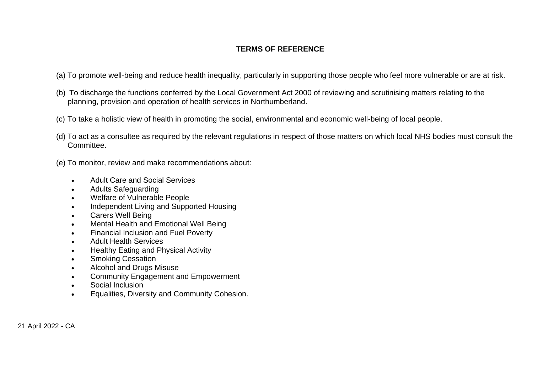## **TERMS OF REFERENCE**

- (a) To promote well-being and reduce health inequality, particularly in supporting those people who feel more vulnerable or are at risk.
- (b) To discharge the functions conferred by the Local Government Act 2000 of reviewing and scrutinising matters relating to the planning, provision and operation of health services in Northumberland.
- (c) To take a holistic view of health in promoting the social, environmental and economic well-being of local people.
- (d) To act as a consultee as required by the relevant regulations in respect of those matters on which local NHS bodies must consult the Committee.
- (e) To monitor, review and make recommendations about:
	- Adult Care and Social Services
	- Adults Safeguarding
	- Welfare of Vulnerable People
	- Independent Living and Supported Housing
	- Carers Well Being
	- Mental Health and Emotional Well Being
	- Financial Inclusion and Fuel Poverty
	- Adult Health Services
	- Healthy Eating and Physical Activity
	- Smoking Cessation
	- Alcohol and Drugs Misuse
	- Community Engagement and Empowerment
	- Social Inclusion
	- Equalities, Diversity and Community Cohesion.

21 April 2022 - CA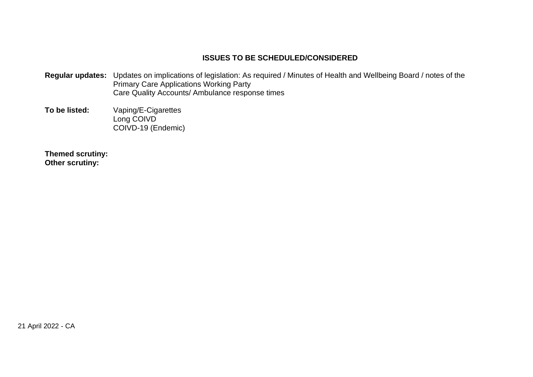## **ISSUES TO BE SCHEDULED/CONSIDERED**

- **Regular updates:** Updates on implications of legislation: As required / Minutes of Health and Wellbeing Board / notes of the Primary Care Applications Working Party Care Quality Accounts/ Ambulance response times
- **To be listed:** Vaping/E-Cigarettes Long COIVD COIVD-19 (Endemic)

**Themed scrutiny: Other scrutiny:**

21 April 2022 - CA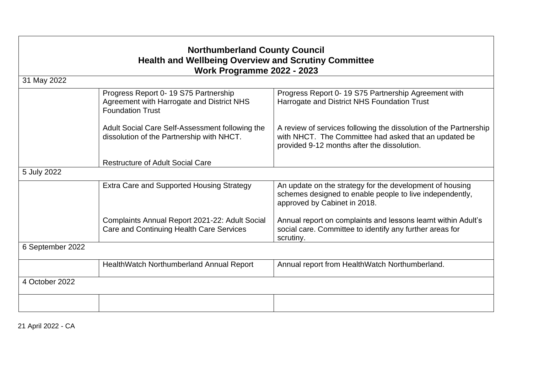| <b>Northumberland County Council</b><br><b>Health and Wellbeing Overview and Scrutiny Committee</b><br>Work Programme 2022 - 2023 |                                                                                                              |                                                                                                                                                                           |  |  |  |  |
|-----------------------------------------------------------------------------------------------------------------------------------|--------------------------------------------------------------------------------------------------------------|---------------------------------------------------------------------------------------------------------------------------------------------------------------------------|--|--|--|--|
|                                                                                                                                   |                                                                                                              |                                                                                                                                                                           |  |  |  |  |
|                                                                                                                                   | Progress Report 0-19 S75 Partnership<br>Agreement with Harrogate and District NHS<br><b>Foundation Trust</b> | Progress Report 0-19 S75 Partnership Agreement with<br>Harrogate and District NHS Foundation Trust                                                                        |  |  |  |  |
|                                                                                                                                   | Adult Social Care Self-Assessment following the<br>dissolution of the Partnership with NHCT.                 | A review of services following the dissolution of the Partnership<br>with NHCT. The Committee had asked that an updated be<br>provided 9-12 months after the dissolution. |  |  |  |  |
|                                                                                                                                   | <b>Restructure of Adult Social Care</b>                                                                      |                                                                                                                                                                           |  |  |  |  |
| 5 July 2022                                                                                                                       |                                                                                                              |                                                                                                                                                                           |  |  |  |  |
|                                                                                                                                   | Extra Care and Supported Housing Strategy                                                                    | An update on the strategy for the development of housing<br>schemes designed to enable people to live independently,<br>approved by Cabinet in 2018.                      |  |  |  |  |
|                                                                                                                                   | Complaints Annual Report 2021-22: Adult Social<br>Care and Continuing Health Care Services                   | Annual report on complaints and lessons learnt within Adult's<br>social care. Committee to identify any further areas for<br>scrutiny.                                    |  |  |  |  |
| 6 September 2022                                                                                                                  |                                                                                                              |                                                                                                                                                                           |  |  |  |  |
|                                                                                                                                   | HealthWatch Northumberland Annual Report                                                                     | Annual report from HealthWatch Northumberland.                                                                                                                            |  |  |  |  |
| 4 October 2022                                                                                                                    |                                                                                                              |                                                                                                                                                                           |  |  |  |  |
|                                                                                                                                   |                                                                                                              |                                                                                                                                                                           |  |  |  |  |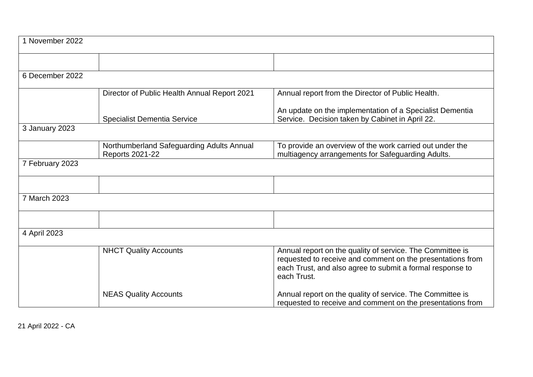| 1 November 2022 |                                                                     |                                                                                                                                                                                                     |  |  |  |
|-----------------|---------------------------------------------------------------------|-----------------------------------------------------------------------------------------------------------------------------------------------------------------------------------------------------|--|--|--|
|                 |                                                                     |                                                                                                                                                                                                     |  |  |  |
| 6 December 2022 |                                                                     |                                                                                                                                                                                                     |  |  |  |
|                 | Director of Public Health Annual Report 2021                        | Annual report from the Director of Public Health.                                                                                                                                                   |  |  |  |
|                 | <b>Specialist Dementia Service</b>                                  | An update on the implementation of a Specialist Dementia<br>Service. Decision taken by Cabinet in April 22.                                                                                         |  |  |  |
| 3 January 2023  |                                                                     |                                                                                                                                                                                                     |  |  |  |
|                 | Northumberland Safeguarding Adults Annual<br><b>Reports 2021-22</b> | To provide an overview of the work carried out under the<br>multiagency arrangements for Safeguarding Adults.                                                                                       |  |  |  |
| 7 February 2023 |                                                                     |                                                                                                                                                                                                     |  |  |  |
|                 |                                                                     |                                                                                                                                                                                                     |  |  |  |
| 7 March 2023    |                                                                     |                                                                                                                                                                                                     |  |  |  |
|                 |                                                                     |                                                                                                                                                                                                     |  |  |  |
| 4 April 2023    |                                                                     |                                                                                                                                                                                                     |  |  |  |
|                 | <b>NHCT Quality Accounts</b>                                        | Annual report on the quality of service. The Committee is<br>requested to receive and comment on the presentations from<br>each Trust, and also agree to submit a formal response to<br>each Trust. |  |  |  |
|                 | <b>NEAS Quality Accounts</b>                                        | Annual report on the quality of service. The Committee is<br>requested to receive and comment on the presentations from                                                                             |  |  |  |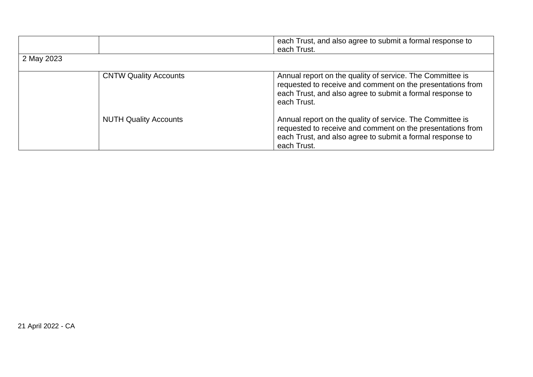|            |                              | each Trust, and also agree to submit a formal response to<br>each Trust.                                                                                                                            |  |  |  |
|------------|------------------------------|-----------------------------------------------------------------------------------------------------------------------------------------------------------------------------------------------------|--|--|--|
| 2 May 2023 |                              |                                                                                                                                                                                                     |  |  |  |
|            | <b>CNTW Quality Accounts</b> | Annual report on the quality of service. The Committee is<br>requested to receive and comment on the presentations from<br>each Trust, and also agree to submit a formal response to<br>each Trust. |  |  |  |
|            | <b>NUTH Quality Accounts</b> | Annual report on the quality of service. The Committee is<br>requested to receive and comment on the presentations from<br>each Trust, and also agree to submit a formal response to<br>each Trust. |  |  |  |